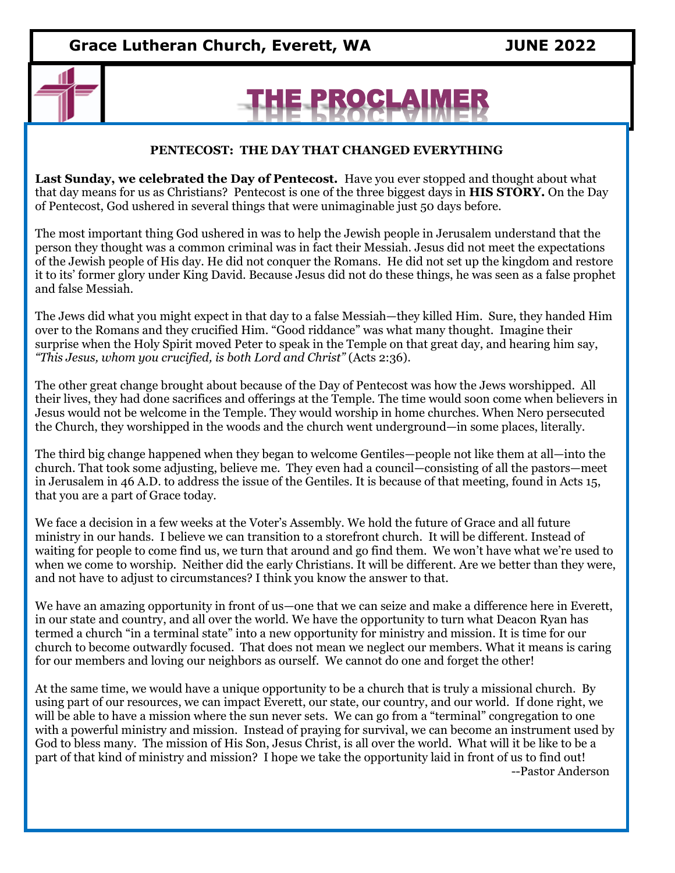

# E PROCLAIMER

#### **PENTECOST: THE DAY THAT CHANGED EVERYTHING**

**Last Sunday, we celebrated the Day of Pentecost.** Have you ever stopped and thought about what that day means for us as Christians? Pentecost is one of the three biggest days in **HIS STORY.** On the Day of Pentecost, God ushered in several things that were unimaginable just 50 days before.

The most important thing God ushered in was to help the Jewish people in Jerusalem understand that the person they thought was a common criminal was in fact their Messiah. Jesus did not meet the expectations of the Jewish people of His day. He did not conquer the Romans. He did not set up the kingdom and restore it to its' former glory under King David. Because Jesus did not do these things, he was seen as a false prophet and false Messiah.

The Jews did what you might expect in that day to a false Messiah—they killed Him. Sure, they handed Him over to the Romans and they crucified Him. "Good riddance" was what many thought. Imagine their surprise when the Holy Spirit moved Peter to speak in the Temple on that great day, and hearing him say, *³This Jesus, whom you crucified, is both Lord and Christ´* (Acts 2:36).

The other great change brought about because of the Day of Pentecost was how the Jews worshipped. All their lives, they had done sacrifices and offerings at the Temple. The time would soon come when believers in Jesus would not be welcome in the Temple. They would worship in home churches. When Nero persecuted the Church, they worshipped in the woods and the church went underground—in some places, literally.

The third big change happened when they began to welcome Gentiles—people not like them at all—into the church. That took some adjusting, believe me. They even had a council—consisting of all the pastors—meet in Jerusalem in 46 A.D. to address the issue of the Gentiles. It is because of that meeting, found in Acts 15, that you are a part of Grace today.

We face a decision in a few weeks at the Voter's Assembly. We hold the future of Grace and all future ministry in our hands. I believe we can transition to a storefront church. It will be different. Instead of waiting for people to come find us, we turn that around and go find them. We won't have what we're used to when we come to worship. Neither did the early Christians. It will be different. Are we better than they were, and not have to adjust to circumstances? I think you know the answer to that.

We have an amazing opportunity in front of us—one that we can seize and make a difference here in Everett, in our state and country, and all over the world. We have the opportunity to turn what Deacon Ryan has termed a church "in a terminal state" into a new opportunity for ministry and mission. It is time for our church to become outwardly focused. That does not mean we neglect our members. What it means is caring for our members and loving our neighbors as ourself. We cannot do one and forget the other!

At the same time, we would have a unique opportunity to be a church that is truly a missional church. By using part of our resources, we can impact Everett, our state, our country, and our world. If done right, we will be able to have a mission where the sun never sets. We can go from a "terminal" congregation to one with a powerful ministry and mission. Instead of praying for survival, we can become an instrument used by God to bless many. The mission of His Son, Jesus Christ, is all over the world. What will it be like to be a part of that kind of ministry and mission? I hope we take the opportunity laid in front of us to find out! --Pastor Anderson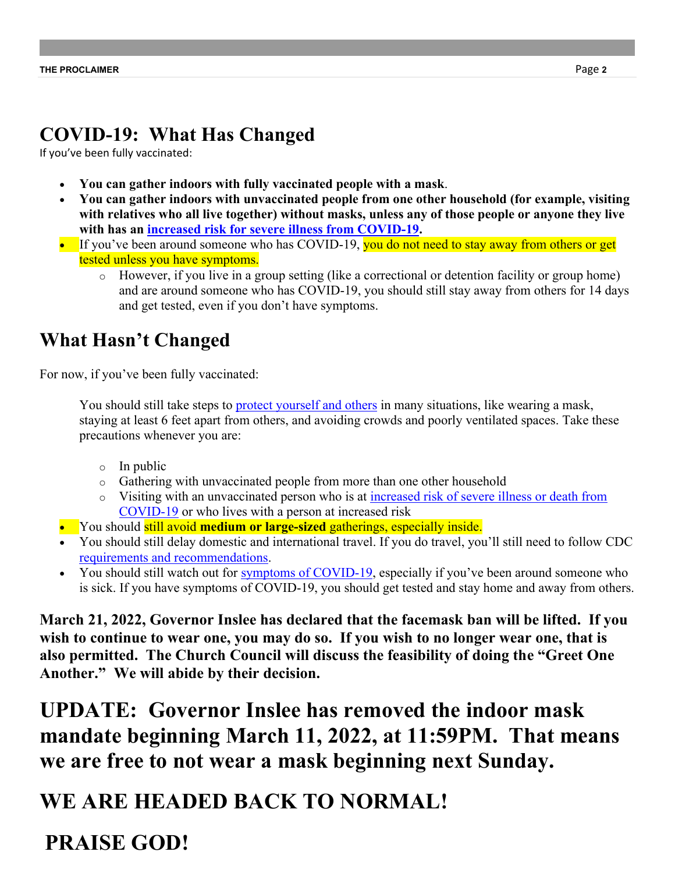## **COVID-19: What Has Changed**

If you've been fully vaccinated:

- x **You can gather indoors with fully vaccinated people with a mask**.
- x **You can gather indoors with unvaccinated people from one other household (for example, visiting with relatives who all live together) without masks, unless any of those people or anyone they live with has an [increased risk for severe](https://www.cdc.gov/coronavirus/2019-ncov/need-extra-precautions/people-with-medical-conditions.html) illness from COVID-19.**
- $\cdot$  If you've been around someone who has COVID-19, you do not need to stay away from others or get tested unless you have symptoms.
	- o However, if you live in a group setting (like a correctional or detention facility or group home) and are around someone who has COVID-19, you should still stay away from others for 14 days and get tested, even if you don't have symptoms.

## **What Hasn't Changed**

For now, if you've been fully vaccinated:

You should still take steps to [protect yourself and others](https://www.cdc.gov/coronavirus/2019-ncov/prevent-getting-sick/prevention.html) in many situations, like wearing a mask, staying at least 6 feet apart from others, and avoiding crowds and poorly ventilated spaces. Take these precautions whenever you are:

- o In public
- o Gathering with unvaccinated people from more than one other household
- o Visiting with an unvaccinated person who is at [increased risk of severe illness or death from](https://www.cdc.gov/coronavirus/2019-ncov/need-extra-precautions/people-with-medical-conditions.html)  [COVID-19](https://www.cdc.gov/coronavirus/2019-ncov/need-extra-precautions/people-with-medical-conditions.html) or who lives with a person at increased risk
- **•** You should still avoid medium or large-sized gatherings, especially inside.
- You should still delay domestic and international travel. If you do travel, you'll still need to follow CDC [requirements and recommendations.](https://www.cdc.gov/coronavirus/2019-ncov/travelers/travel-during-covid19.html)
- You should still watch out for [symptoms of COVID-19](https://www.cdc.gov/coronavirus/2019-ncov/symptoms-testing/symptoms.html), especially if you've been around someone who is sick. If you have symptoms of COVID-19, you should get tested and stay home and away from others.

**March 21, 2022, Governor Inslee has declared that the facemask ban will be lifted. If you wish to continue to wear one, you may do so. If you wish to no longer wear one, that is**  also permitted. The Church Council will discuss the feasibility of doing the "Greet One Another." We will abide by their decision.

**UPDATE: Governor Inslee has removed the indoor mask mandate beginning March 11, 2022, at 11:59PM. That means we are free to not wear a mask beginning next Sunday.**

## **WE ARE HEADED BACK TO NORMAL!**

**PRAISE GOD!**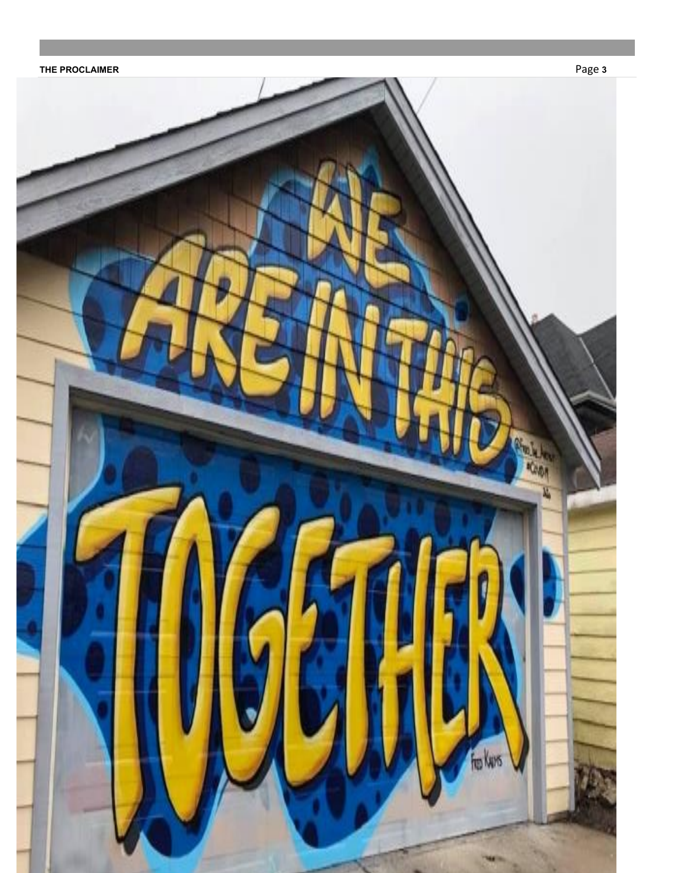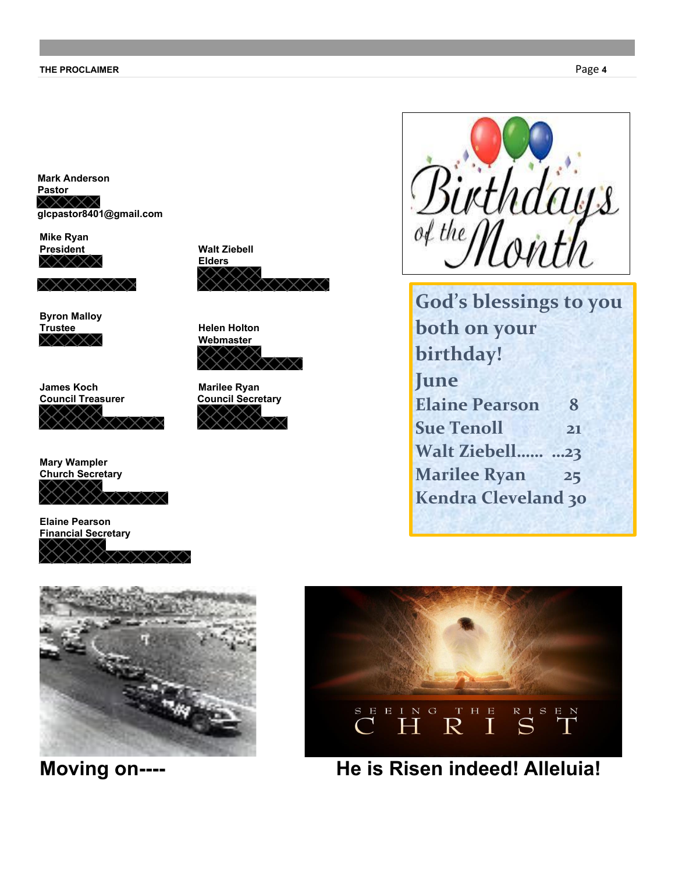**Mark Anderson Pastor**  XXXXX **glcpastor8401@gmail.com**

**Mike Ryan President Walt Ziebell**



**Byron Malloy**

**James Koch Marilee Ryan Council Treasurer Council Secretary**

**Mary Wampler Church Secretary**

**Elaine Pearson Financial Secretary** 





**Helen Holton Webmaster**



God's blessings to you **both on your birthday! June Elaine Pearson 8 Sue Tenoll 21 Walt Ziebell......** ...23 **Marilee Ryan 25 Kendra Cleveland 30**



Moving on---- **1982 The is Risen indeed! Alleluia!**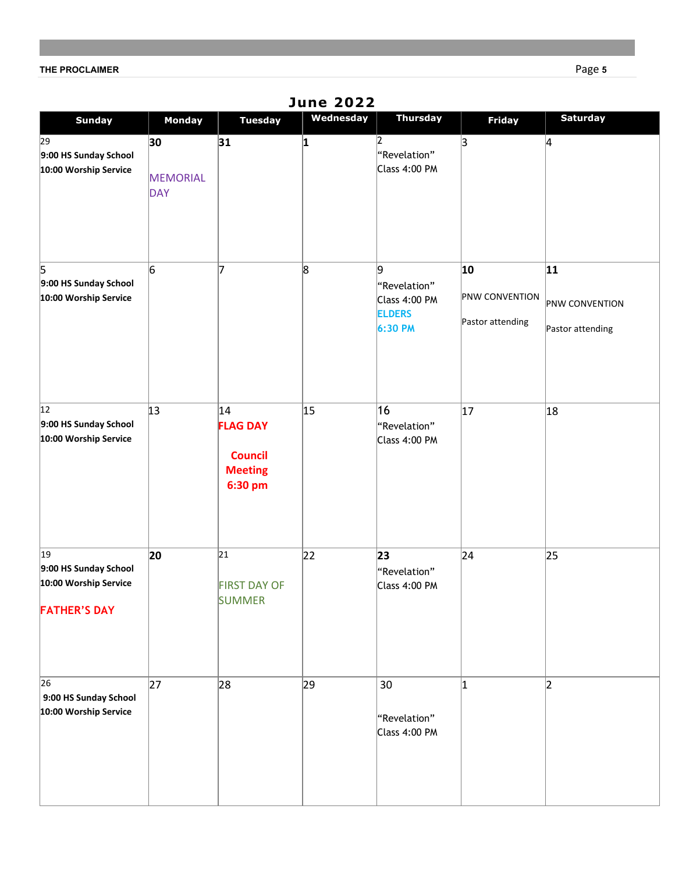#### **THE PROCLAIMER** Page 5

#### **June 2022**

| <b>Sunday</b>                                                               | <b>Monday</b>                       | <b>Tuesday</b>                                                       | Wednesday | <b>Thursday</b>                                                | <b>Friday</b>                            | <b>Saturday</b>                          |
|-----------------------------------------------------------------------------|-------------------------------------|----------------------------------------------------------------------|-----------|----------------------------------------------------------------|------------------------------------------|------------------------------------------|
| 29<br>9:00 HS Sunday School<br>10:00 Worship Service                        | 30<br><b>MEMORIAL</b><br><b>DAY</b> | 31                                                                   | 1         | $\overline{2}$<br>"Revelation"<br>Class 4:00 PM                | 3                                        | 4                                        |
| 5<br>9:00 HS Sunday School<br>10:00 Worship Service                         | 6                                   | 7                                                                    | 8         | 9<br>"Revelation"<br>Class 4:00 PM<br><b>ELDERS</b><br>6:30 PM | 10<br>PNW CONVENTION<br>Pastor attending | 11<br>PNW CONVENTION<br>Pastor attending |
| $ 12\rangle$<br>9:00 HS Sunday School<br>10:00 Worship Service              | 13                                  | 14<br><b>FLAG DAY</b><br><b>Council</b><br><b>Meeting</b><br>6:30 pm | 15        | 16<br>"Revelation"<br>Class 4:00 PM                            | 17                                       | 18                                       |
| 19<br>9:00 HS Sunday School<br>10:00 Worship Service<br><b>FATHER'S DAY</b> | 20                                  | 21<br><b>FIRST DAY OF</b><br><b>SUMMER</b>                           | 22        | 23<br>"Revelation"<br>Class 4:00 PM                            | 24                                       | 25                                       |
| 26<br>9:00 HS Sunday School<br>10:00 Worship Service                        | 27                                  | 28                                                                   | 29        | 30<br>"Revelation"<br>Class 4:00 PM                            | $\mathbf 1$                              | $\overline{2}$                           |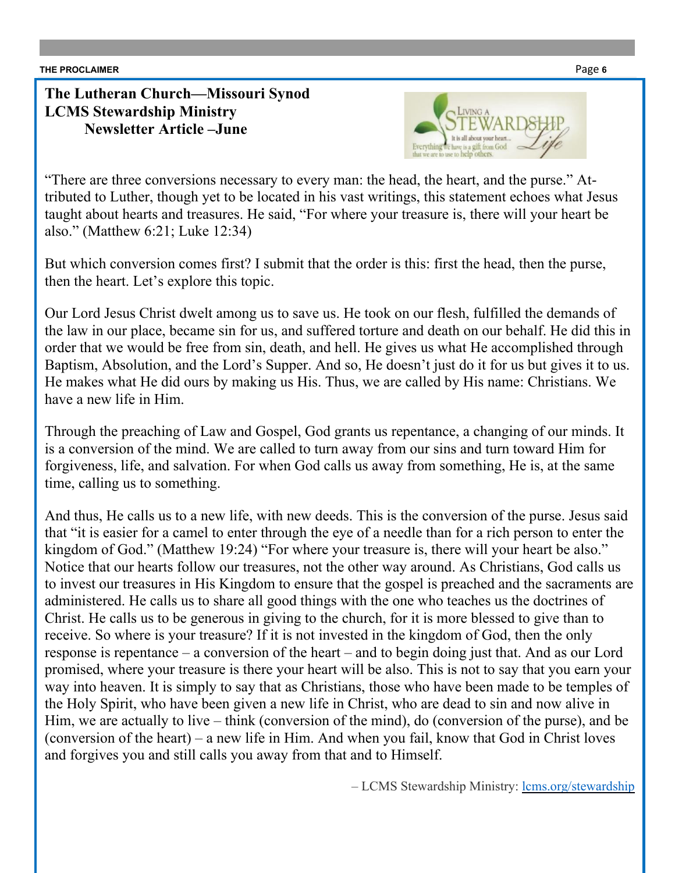#### **The Lutheran Church²Missouri Synod LCMS Stewardship Ministry Newsletter Article ±June**



"There are three conversions necessary to every man: the head, the heart, and the purse." Attributed to Luther, though yet to be located in his vast writings, this statement echoes what Jesus taught about hearts and treasures. He said, "For where your treasure is, there will your heart be also." (Matthew  $6:21$ ; Luke  $12:34$ )

But which conversion comes first? I submit that the order is this: first the head, then the purse, then the heart. Let's explore this topic.

Our Lord Jesus Christ dwelt among us to save us. He took on our flesh, fulfilled the demands of the law in our place, became sin for us, and suffered torture and death on our behalf. He did this in order that we would be free from sin, death, and hell. He gives us what He accomplished through Baptism, Absolution, and the Lord's Supper. And so, He doesn't just do it for us but gives it to us. He makes what He did ours by making us His. Thus, we are called by His name: Christians. We have a new life in Him.

Through the preaching of Law and Gospel, God grants us repentance, a changing of our minds. It is a conversion of the mind. We are called to turn away from our sins and turn toward Him for forgiveness, life, and salvation. For when God calls us away from something, He is, at the same time, calling us to something.

And thus, He calls us to a new life, with new deeds. This is the conversion of the purse. Jesus said that "it is easier for a camel to enter through the eye of a needle than for a rich person to enter the kingdom of God." (Matthew 19:24) "For where your treasure is, there will your heart be also." Notice that our hearts follow our treasures, not the other way around. As Christians, God calls us to invest our treasures in His Kingdom to ensure that the gospel is preached and the sacraments are administered. He calls us to share all good things with the one who teaches us the doctrines of Christ. He calls us to be generous in giving to the church, for it is more blessed to give than to receive. So where is your treasure? If it is not invested in the kingdom of God, then the only response is repentance  $-\alpha$  conversion of the heart  $-\alpha$  and to begin doing just that. And as our Lord promised, where your treasure is there your heart will be also. This is not to say that you earn your way into heaven. It is simply to say that as Christians, those who have been made to be temples of the Holy Spirit, who have been given a new life in Christ, who are dead to sin and now alive in Him, we are actually to live  $-\text{think}$  (conversion of the mind), do (conversion of the purse), and be (conversion of the heart)  $-$  a new life in Him. And when you fail, know that God in Christ loves and forgives you and still calls you away from that and to Himself.